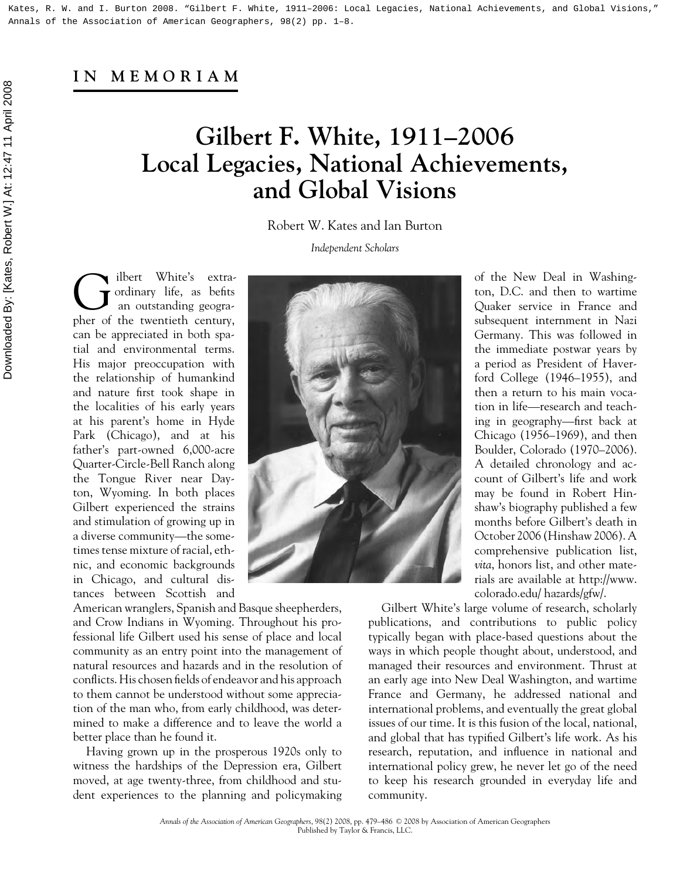# **Gilbert F. White, 1911–2006 Local Legacies, National Achievements, and Global Visions**

Robert W. Kates and Ian Burton

*Independent Scholars*

Gilbert White's extra-<br>Gordinary life, as befits<br>an outstanding geograordinary life, as befits an outstanding geographer of the twentieth century, can be appreciated in both spatial and environmental terms. His major preoccupation with the relationship of humankind and nature first took shape in the localities of his early years at his parent's home in Hyde Park (Chicago), and at his father's part-owned 6,000-acre Quarter-Circle-Bell Ranch along the Tongue River near Dayton, Wyoming. In both places Gilbert experienced the strains and stimulation of growing up in a diverse community—the sometimes tense mixture of racial, ethnic, and economic backgrounds in Chicago, and cultural distances between Scottish and

American wranglers, Spanish and Basque sheepherders, and Crow Indians in Wyoming. Throughout his professional life Gilbert used his sense of place and local community as an entry point into the management of natural resources and hazards and in the resolution of conflicts. His chosen fields of endeavor and his approach to them cannot be understood without some appreciation of the man who, from early childhood, was determined to make a difference and to leave the world a better place than he found it.

Having grown up in the prosperous 1920s only to witness the hardships of the Depression era, Gilbert moved, at age twenty-three, from childhood and student experiences to the planning and policymaking of the New Deal in Washington, D.C. and then to wartime Quaker service in France and subsequent internment in Nazi Germany. This was followed in the immediate postwar years by a period as President of Haverford College (1946–1955), and then a return to his main vocation in life—research and teaching in geography—first back at Chicago (1956–1969), and then Boulder, Colorado (1970–2006). A detailed chronology and account of Gilbert's life and work may be found in Robert Hinshaw's biography published a few months before Gilbert's death in October 2006 (Hinshaw 2006). A comprehensive publication list, *vita*, honors list, and other materials are available at http://www. colorado.edu/ hazards/gfw/.

Gilbert White's large volume of research, scholarly publications, and contributions to public policy typically began with place-based questions about the ways in which people thought about, understood, and managed their resources and environment. Thrust at an early age into New Deal Washington, and wartime France and Germany, he addressed national and international problems, and eventually the great global issues of our time. It is this fusion of the local, national, and global that has typified Gilbert's life work. As his research, reputation, and influence in national and international policy grew, he never let go of the need to keep his research grounded in everyday life and community.

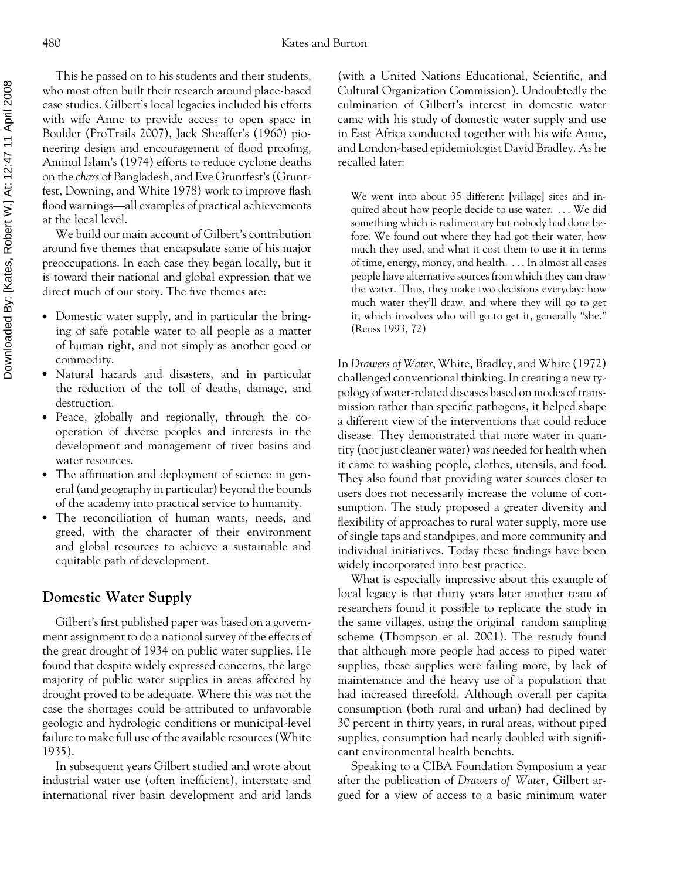This he passed on to his students and their students, who most often built their research around place-based case studies. Gilbert's local legacies included his efforts with wife Anne to provide access to open space in Boulder (ProTrails 2007), Jack Sheaffer's (1960) pioneering design and encouragement of flood proofing, Aminul Islam's (1974) efforts to reduce cyclone deaths on the *chars* of Bangladesh, and Eve Gruntfest's (Gruntfest, Downing, and White 1978) work to improve flash flood warnings—all examples of practical achievements at the local level.

We build our main account of Gilbert's contribution around five themes that encapsulate some of his major preoccupations. In each case they began locally, but it is toward their national and global expression that we direct much of our story. The five themes are:

- Domestic water supply, and in particular the bringing of safe potable water to all people as a matter of human right, and not simply as another good or commodity.
- Natural hazards and disasters, and in particular the reduction of the toll of deaths, damage, and destruction.
- Peace, globally and regionally, through the cooperation of diverse peoples and interests in the development and management of river basins and water resources.
- The affirmation and deployment of science in general (and geography in particular) beyond the bounds of the academy into practical service to humanity.
- The reconciliation of human wants, needs, and greed, with the character of their environment and global resources to achieve a sustainable and equitable path of development.

### **Domestic Water Supply**

Gilbert's first published paper was based on a government assignment to do a national survey of the effects of the great drought of 1934 on public water supplies. He found that despite widely expressed concerns, the large majority of public water supplies in areas affected by drought proved to be adequate. Where this was not the case the shortages could be attributed to unfavorable geologic and hydrologic conditions or municipal-level failure to make full use of the available resources (White 1935).

In subsequent years Gilbert studied and wrote about industrial water use (often inefficient), interstate and international river basin development and arid lands (with a United Nations Educational, Scientific, and Cultural Organization Commission). Undoubtedly the culmination of Gilbert's interest in domestic water came with his study of domestic water supply and use in East Africa conducted together with his wife Anne, and London-based epidemiologist David Bradley. As he recalled later:

We went into about 35 different [village] sites and inquired about how people decide to use water. ... We did something which is rudimentary but nobody had done before. We found out where they had got their water, how much they used, and what it cost them to use it in terms of time, energy, money, and health. ... In almost all cases people have alternative sources from which they can draw the water. Thus, they make two decisions everyday: how much water they'll draw, and where they will go to get it, which involves who will go to get it, generally "she." (Reuss 1993, 72)

In *Drawers of Water*, White, Bradley, and White (1972) challenged conventional thinking. In creating a new typology of water-related diseases based on modes of transmission rather than specific pathogens, it helped shape a different view of the interventions that could reduce disease. They demonstrated that more water in quantity (not just cleaner water) was needed for health when it came to washing people, clothes, utensils, and food. They also found that providing water sources closer to users does not necessarily increase the volume of consumption. The study proposed a greater diversity and flexibility of approaches to rural water supply, more use of single taps and standpipes, and more community and individual initiatives. Today these findings have been widely incorporated into best practice.

What is especially impressive about this example of local legacy is that thirty years later another team of researchers found it possible to replicate the study in the same villages, using the original random sampling scheme (Thompson et al. 2001). The restudy found that although more people had access to piped water supplies, these supplies were failing more, by lack of maintenance and the heavy use of a population that had increased threefold. Although overall per capita consumption (both rural and urban) had declined by 30 percent in thirty years, in rural areas, without piped supplies, consumption had nearly doubled with significant environmental health benefits.

Speaking to a CIBA Foundation Symposium a year after the publication of *Drawers of Water,* Gilbert argued for a view of access to a basic minimum water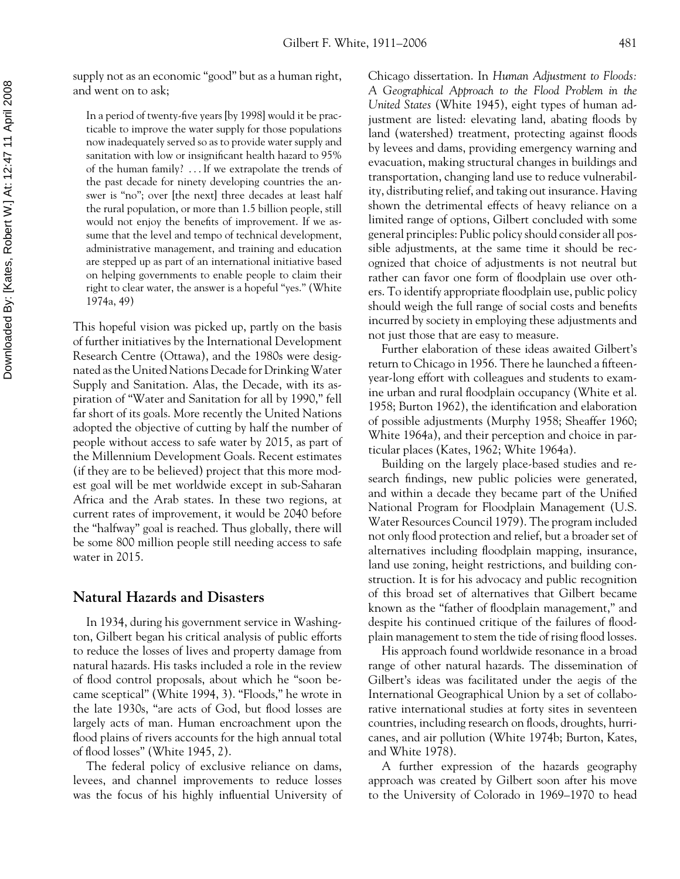supply not as an economic "good" but as a human right, and went on to ask;

In a period of twenty-five years [by 1998] would it be practicable to improve the water supply for those populations now inadequately served so as to provide water supply and sanitation with low or insignificant health hazard to 95% of the human family? ... If we extrapolate the trends of the past decade for ninety developing countries the answer is "no"; over [the next] three decades at least half the rural population, or more than 1.5 billion people, still would not enjoy the benefits of improvement. If we assume that the level and tempo of technical development, administrative management, and training and education are stepped up as part of an international initiative based on helping governments to enable people to claim their right to clear water, the answer is a hopeful "yes." (White 1974a, 49)

This hopeful vision was picked up, partly on the basis of further initiatives by the International Development Research Centre (Ottawa), and the 1980s were designated as the United Nations Decade for DrinkingWater Supply and Sanitation. Alas, the Decade, with its aspiration of "Water and Sanitation for all by 1990," fell far short of its goals. More recently the United Nations adopted the objective of cutting by half the number of people without access to safe water by 2015, as part of the Millennium Development Goals. Recent estimates (if they are to be believed) project that this more modest goal will be met worldwide except in sub-Saharan Africa and the Arab states. In these two regions, at current rates of improvement, it would be 2040 before the "halfway" goal is reached. Thus globally, there will be some 800 million people still needing access to safe water in 2015.

#### **Natural Hazards and Disasters**

In 1934, during his government service in Washington, Gilbert began his critical analysis of public efforts to reduce the losses of lives and property damage from natural hazards. His tasks included a role in the review of flood control proposals, about which he "soon became sceptical" (White 1994, 3). "Floods," he wrote in the late 1930s, "are acts of God, but flood losses are largely acts of man. Human encroachment upon the flood plains of rivers accounts for the high annual total of flood losses" (White 1945, 2).

The federal policy of exclusive reliance on dams, levees, and channel improvements to reduce losses was the focus of his highly influential University of Chicago dissertation. In *Human Adjustment to Floods: A Geographical Approach to the Flood Problem in the United States* (White 1945), eight types of human adjustment are listed: elevating land, abating floods by land (watershed) treatment, protecting against floods by levees and dams, providing emergency warning and evacuation, making structural changes in buildings and transportation, changing land use to reduce vulnerability, distributing relief, and taking out insurance. Having shown the detrimental effects of heavy reliance on a limited range of options, Gilbert concluded with some general principles: Public policy should consider all possible adjustments, at the same time it should be recognized that choice of adjustments is not neutral but rather can favor one form of floodplain use over others. To identify appropriate floodplain use, public policy should weigh the full range of social costs and benefits incurred by society in employing these adjustments and not just those that are easy to measure.

Further elaboration of these ideas awaited Gilbert's return to Chicago in 1956. There he launched a fifteenyear-long effort with colleagues and students to examine urban and rural floodplain occupancy (White et al. 1958; Burton 1962), the identification and elaboration of possible adjustments (Murphy 1958; Sheaffer 1960; White 1964a), and their perception and choice in particular places (Kates, 1962; White 1964a).

Building on the largely place-based studies and research findings, new public policies were generated, and within a decade they became part of the Unified National Program for Floodplain Management (U.S. Water Resources Council 1979). The program included not only flood protection and relief, but a broader set of alternatives including floodplain mapping, insurance, land use zoning, height restrictions, and building construction. It is for his advocacy and public recognition of this broad set of alternatives that Gilbert became known as the "father of floodplain management," and despite his continued critique of the failures of floodplain management to stem the tide of rising flood losses.

His approach found worldwide resonance in a broad range of other natural hazards. The dissemination of Gilbert's ideas was facilitated under the aegis of the International Geographical Union by a set of collaborative international studies at forty sites in seventeen countries, including research on floods, droughts, hurricanes, and air pollution (White 1974b; Burton, Kates, and White 1978).

A further expression of the hazards geography approach was created by Gilbert soon after his move to the University of Colorado in 1969–1970 to head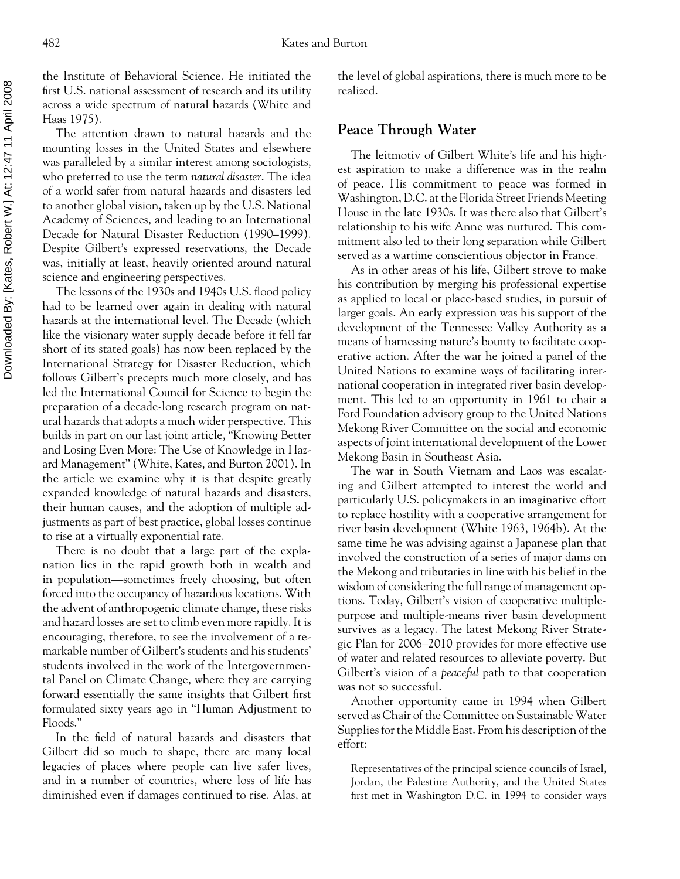the Institute of Behavioral Science. He initiated the first U.S. national assessment of research and its utility across a wide spectrum of natural hazards (White and Haas 1975).

The attention drawn to natural hazards and the mounting losses in the United States and elsewhere was paralleled by a similar interest among sociologists, who preferred to use the term *natural disaster*. The idea of a world safer from natural hazards and disasters led to another global vision, taken up by the U.S. National Academy of Sciences, and leading to an International Decade for Natural Disaster Reduction (1990–1999). Despite Gilbert's expressed reservations, the Decade was, initially at least, heavily oriented around natural science and engineering perspectives.

The lessons of the 1930s and 1940s U.S. flood policy had to be learned over again in dealing with natural hazards at the international level. The Decade (which like the visionary water supply decade before it fell far short of its stated goals) has now been replaced by the International Strategy for Disaster Reduction, which follows Gilbert's precepts much more closely, and has led the International Council for Science to begin the preparation of a decade-long research program on natural hazards that adopts a much wider perspective. This builds in part on our last joint article, "Knowing Better and Losing Even More: The Use of Knowledge in Hazard Management" (White, Kates, and Burton 2001). In the article we examine why it is that despite greatly expanded knowledge of natural hazards and disasters, their human causes, and the adoption of multiple adjustments as part of best practice, global losses continue to rise at a virtually exponential rate.

There is no doubt that a large part of the explanation lies in the rapid growth both in wealth and in population—sometimes freely choosing, but often forced into the occupancy of hazardous locations. With the advent of anthropogenic climate change, these risks and hazard losses are set to climb even more rapidly. It is encouraging, therefore, to see the involvement of a remarkable number of Gilbert's students and his students' students involved in the work of the Intergovernmental Panel on Climate Change, where they are carrying forward essentially the same insights that Gilbert first formulated sixty years ago in "Human Adjustment to Floods."

In the field of natural hazards and disasters that Gilbert did so much to shape, there are many local legacies of places where people can live safer lives, and in a number of countries, where loss of life has diminished even if damages continued to rise. Alas, at the level of global aspirations, there is much more to be realized.

#### **Peace Through Water**

The leitmotiv of Gilbert White's life and his highest aspiration to make a difference was in the realm of peace. His commitment to peace was formed in Washington, D.C. at the Florida Street Friends Meeting House in the late 1930s. It was there also that Gilbert's relationship to his wife Anne was nurtured. This commitment also led to their long separation while Gilbert served as a wartime conscientious objector in France.

As in other areas of his life, Gilbert strove to make his contribution by merging his professional expertise as applied to local or place-based studies, in pursuit of larger goals. An early expression was his support of the development of the Tennessee Valley Authority as a means of harnessing nature's bounty to facilitate cooperative action. After the war he joined a panel of the United Nations to examine ways of facilitating international cooperation in integrated river basin development. This led to an opportunity in 1961 to chair a Ford Foundation advisory group to the United Nations Mekong River Committee on the social and economic aspects of joint international development of the Lower Mekong Basin in Southeast Asia.

The war in South Vietnam and Laos was escalating and Gilbert attempted to interest the world and particularly U.S. policymakers in an imaginative effort to replace hostility with a cooperative arrangement for river basin development (White 1963, 1964b). At the same time he was advising against a Japanese plan that involved the construction of a series of major dams on the Mekong and tributaries in line with his belief in the wisdom of considering the full range of management options. Today, Gilbert's vision of cooperative multiplepurpose and multiple-means river basin development survives as a legacy. The latest Mekong River Strategic Plan for 2006–2010 provides for more effective use of water and related resources to alleviate poverty. But Gilbert's vision of a *peaceful* path to that cooperation was not so successful.

Another opportunity came in 1994 when Gilbert served as Chair of the Committee on Sustainable Water Supplies for the Middle East. From his description of the effort:

Representatives of the principal science councils of Israel, Jordan, the Palestine Authority, and the United States first met in Washington D.C. in 1994 to consider ways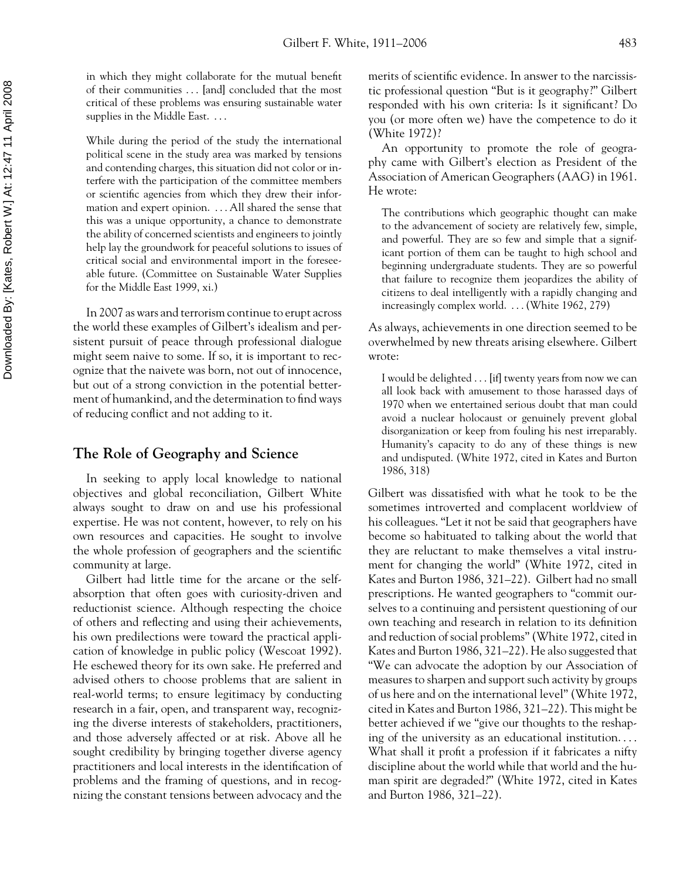in which they might collaborate for the mutual benefit of their communities ... [and] concluded that the most critical of these problems was ensuring sustainable water supplies in the Middle East. ...

While during the period of the study the international political scene in the study area was marked by tensions and contending charges, this situation did not color or interfere with the participation of the committee members or scientific agencies from which they drew their information and expert opinion. ... All shared the sense that this was a unique opportunity, a chance to demonstrate the ability of concerned scientists and engineers to jointly help lay the groundwork for peaceful solutions to issues of critical social and environmental import in the foreseeable future. (Committee on Sustainable Water Supplies for the Middle East 1999, xi.)

In 2007 as wars and terrorism continue to erupt across the world these examples of Gilbert's idealism and persistent pursuit of peace through professional dialogue might seem naive to some. If so, it is important to recognize that the naivete was born, not out of innocence, but out of a strong conviction in the potential betterment of humankind, and the determination to find ways of reducing conflict and not adding to it.

## **The Role of Geography and Science**

In seeking to apply local knowledge to national objectives and global reconciliation, Gilbert White always sought to draw on and use his professional expertise. He was not content, however, to rely on his own resources and capacities. He sought to involve the whole profession of geographers and the scientific community at large.

Gilbert had little time for the arcane or the selfabsorption that often goes with curiosity-driven and reductionist science. Although respecting the choice of others and reflecting and using their achievements, his own predilections were toward the practical application of knowledge in public policy (Wescoat 1992). He eschewed theory for its own sake. He preferred and advised others to choose problems that are salient in real-world terms; to ensure legitimacy by conducting research in a fair, open, and transparent way, recognizing the diverse interests of stakeholders, practitioners, and those adversely affected or at risk. Above all he sought credibility by bringing together diverse agency practitioners and local interests in the identification of problems and the framing of questions, and in recognizing the constant tensions between advocacy and the

merits of scientific evidence. In answer to the narcissistic professional question "But is it geography?" Gilbert responded with his own criteria: Is it significant? Do you (or more often we) have the competence to do it (White 1972)?

An opportunity to promote the role of geography came with Gilbert's election as President of the Association of American Geographers (AAG) in 1961. He wrote:

The contributions which geographic thought can make to the advancement of society are relatively few, simple, and powerful. They are so few and simple that a significant portion of them can be taught to high school and beginning undergraduate students. They are so powerful that failure to recognize them jeopardizes the ability of citizens to deal intelligently with a rapidly changing and increasingly complex world. ...(White 1962, 279)

As always, achievements in one direction seemed to be overwhelmed by new threats arising elsewhere. Gilbert wrote:

I would be delighted ... [if] twenty years from now we can all look back with amusement to those harassed days of 1970 when we entertained serious doubt that man could avoid a nuclear holocaust or genuinely prevent global disorganization or keep from fouling his nest irreparably. Humanity's capacity to do any of these things is new and undisputed. (White 1972, cited in Kates and Burton 1986, 318)

Gilbert was dissatisfied with what he took to be the sometimes introverted and complacent worldview of his colleagues. "Let it not be said that geographers have become so habituated to talking about the world that they are reluctant to make themselves a vital instrument for changing the world" (White 1972, cited in Kates and Burton 1986, 321–22). Gilbert had no small prescriptions. He wanted geographers to "commit ourselves to a continuing and persistent questioning of our own teaching and research in relation to its definition and reduction of social problems" (White 1972, cited in Kates and Burton 1986, 321–22). He also suggested that "We can advocate the adoption by our Association of measures to sharpen and support such activity by groups of us here and on the international level" (White 1972, cited in Kates and Burton 1986, 321–22). This might be better achieved if we "give our thoughts to the reshaping of the university as an educational institution. ... What shall it profit a profession if it fabricates a nifty discipline about the world while that world and the human spirit are degraded?" (White 1972, cited in Kates and Burton 1986, 321–22).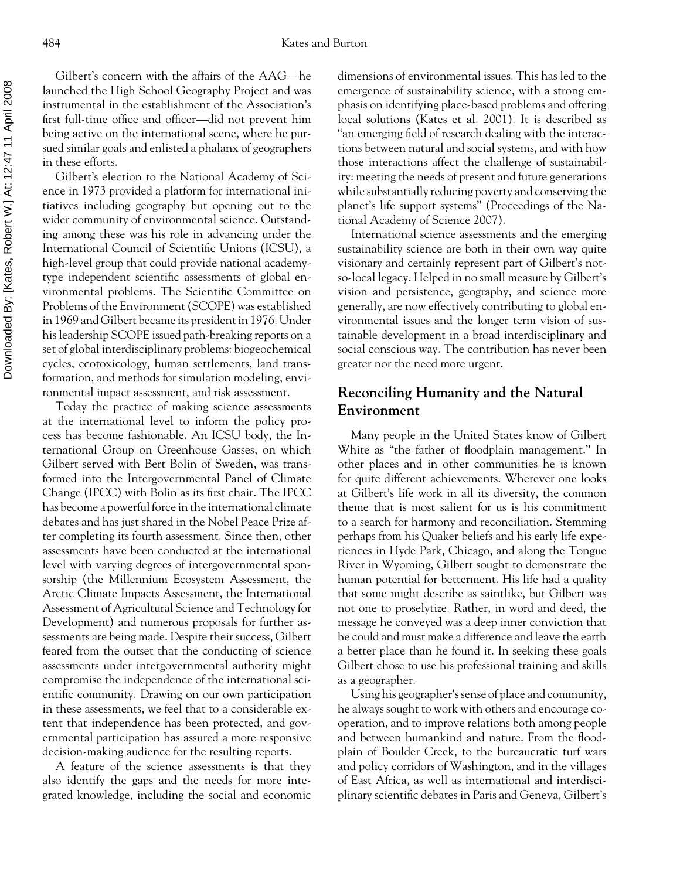Gilbert's concern with the affairs of the AAG—he launched the High School Geography Project and was instrumental in the establishment of the Association's first full-time office and officer—did not prevent him being active on the international scene, where he pursued similar goals and enlisted a phalanx of geographers in these efforts.

Gilbert's election to the National Academy of Science in 1973 provided a platform for international initiatives including geography but opening out to the wider community of environmental science. Outstanding among these was his role in advancing under the International Council of Scientific Unions (ICSU), a high-level group that could provide national academytype independent scientific assessments of global environmental problems. The Scientific Committee on Problems of the Environment (SCOPE) was established in 1969 and Gilbert became its president in 1976. Under his leadership SCOPE issued path-breaking reports on a set of global interdisciplinary problems: biogeochemical cycles, ecotoxicology, human settlements, land transformation, and methods for simulation modeling, environmental impact assessment, and risk assessment.

Today the practice of making science assessments at the international level to inform the policy process has become fashionable. An ICSU body, the International Group on Greenhouse Gasses, on which Gilbert served with Bert Bolin of Sweden, was transformed into the Intergovernmental Panel of Climate Change (IPCC) with Bolin as its first chair. The IPCC has become a powerful force in the international climate debates and has just shared in the Nobel Peace Prize after completing its fourth assessment. Since then, other assessments have been conducted at the international level with varying degrees of intergovernmental sponsorship (the Millennium Ecosystem Assessment, the Arctic Climate Impacts Assessment, the International Assessment of Agricultural Science and Technology for Development) and numerous proposals for further assessments are being made. Despite their success, Gilbert feared from the outset that the conducting of science assessments under intergovernmental authority might compromise the independence of the international scientific community. Drawing on our own participation in these assessments, we feel that to a considerable extent that independence has been protected, and governmental participation has assured a more responsive decision-making audience for the resulting reports.

A feature of the science assessments is that they also identify the gaps and the needs for more integrated knowledge, including the social and economic

dimensions of environmental issues. This has led to the emergence of sustainability science, with a strong emphasis on identifying place-based problems and offering local solutions (Kates et al. 2001). It is described as "an emerging field of research dealing with the interactions between natural and social systems, and with how those interactions affect the challenge of sustainability: meeting the needs of present and future generations while substantially reducing poverty and conserving the planet's life support systems" (Proceedings of the National Academy of Science 2007).

International science assessments and the emerging sustainability science are both in their own way quite visionary and certainly represent part of Gilbert's notso-local legacy. Helped in no small measure by Gilbert's vision and persistence, geography, and science more generally, are now effectively contributing to global environmental issues and the longer term vision of sustainable development in a broad interdisciplinary and social conscious way. The contribution has never been greater nor the need more urgent.

# **Reconciling Humanity and the Natural Environment**

Many people in the United States know of Gilbert White as "the father of floodplain management." In other places and in other communities he is known for quite different achievements. Wherever one looks at Gilbert's life work in all its diversity, the common theme that is most salient for us is his commitment to a search for harmony and reconciliation. Stemming perhaps from his Quaker beliefs and his early life experiences in Hyde Park, Chicago, and along the Tongue River in Wyoming, Gilbert sought to demonstrate the human potential for betterment. His life had a quality that some might describe as saintlike, but Gilbert was not one to proselytize. Rather, in word and deed, the message he conveyed was a deep inner conviction that he could and must make a difference and leave the earth a better place than he found it. In seeking these goals Gilbert chose to use his professional training and skills as a geographer.

Using his geographer's sense of place and community, he always sought to work with others and encourage cooperation, and to improve relations both among people and between humankind and nature. From the floodplain of Boulder Creek, to the bureaucratic turf wars and policy corridors of Washington, and in the villages of East Africa, as well as international and interdisciplinary scientific debates in Paris and Geneva, Gilbert's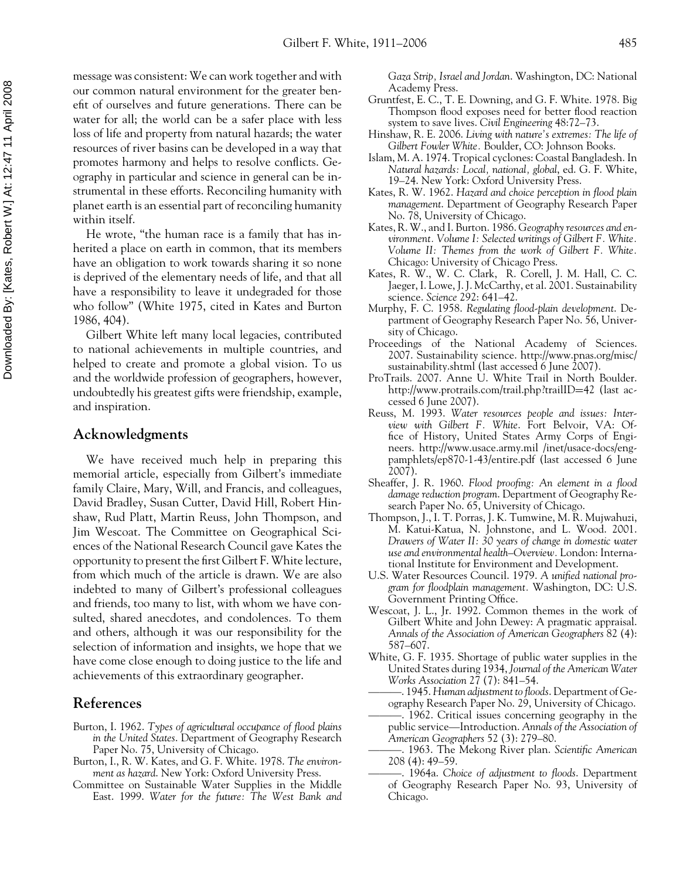message was consistent: We can work together and with our common natural environment for the greater benefit of ourselves and future generations. There can be water for all; the world can be a safer place with less loss of life and property from natural hazards; the water resources of river basins can be developed in a way that promotes harmony and helps to resolve conflicts. Geography in particular and science in general can be instrumental in these efforts. Reconciling humanity with planet earth is an essential part of reconciling humanity within itself.

He wrote, "the human race is a family that has inherited a place on earth in common, that its members have an obligation to work towards sharing it so none is deprived of the elementary needs of life, and that all have a responsibility to leave it undegraded for those who follow" (White 1975, cited in Kates and Burton 1986, 404).

Gilbert White left many local legacies, contributed to national achievements in multiple countries, and helped to create and promote a global vision. To us and the worldwide profession of geographers, however, undoubtedly his greatest gifts were friendship, example, and inspiration.

#### **Acknowledgments**

We have received much help in preparing this memorial article, especially from Gilbert's immediate family Claire, Mary, Will, and Francis, and colleagues, David Bradley, Susan Cutter, David Hill, Robert Hinshaw, Rud Platt, Martin Reuss, John Thompson, and Jim Wescoat. The Committee on Geographical Sciences of the National Research Council gave Kates the opportunity to present the first Gilbert F. White lecture, from which much of the article is drawn. We are also indebted to many of Gilbert's professional colleagues and friends, too many to list, with whom we have consulted, shared anecdotes, and condolences. To them and others, although it was our responsibility for the selection of information and insights, we hope that we have come close enough to doing justice to the life and achievements of this extraordinary geographer.

#### **References**

- Burton, I. 1962. *Types of agricultural occupance of flood plains in the United States*. Department of Geography Research Paper No. 75, University of Chicago.
- Burton, I., R. W. Kates, and G. F. White. 1978. *The environment as hazard*. New York: Oxford University Press.
- Committee on Sustainable Water Supplies in the Middle East. 1999. *Water for the future: The West Bank and*

*Gaza Strip, Israel and Jordan*. Washington, DC: National Academy Press.

- Gruntfest, E. C., T. E. Downing, and G. F. White. 1978. Big Thompson flood exposes need for better flood reaction system to save lives. *Civil Engineering* 48:72–73.
- Hinshaw, R. E. 2006. *Living with nature's extremes: The life of Gilbert Fowler White.* Boulder, CO: Johnson Books.
- Islam, M. A. 1974. Tropical cyclones: Coastal Bangladesh. In *Natural hazards: Local, national, global*, ed. G. F. White, 19–24. New York: Oxford University Press.
- Kates, R. W. 1962. *Hazard and choice perception in flood plain management*. Department of Geography Research Paper No. 78, University of Chicago.
- Kates, R. W., and I. Burton. 1986. *Geography resources and environment. Volume I: Selected writings of Gilbert F. White. Volume II: Themes from the work of Gilbert F. White.* Chicago: University of Chicago Press.
- Kates, R. W., W. C. Clark, R. Corell, J. M. Hall, C. C. Jaeger, I. Lowe, J. J. McCarthy, et al. 2001. Sustainability science. *Science* 292: 641–42.
- Murphy, F. C. 1958. *Regulating flood-plain development*. Department of Geography Research Paper No. 56, University of Chicago.
- Proceedings of the National Academy of Sciences. 2007. Sustainability science. http://www.pnas.org/misc/ sustainability.shtml (last accessed 6 June 2007).
- ProTrails. 2007. Anne U. White Trail in North Boulder. http://www.protrails.com/trail.php?trailID=42 (last accessed 6 June 2007).
- Reuss, M. 1993. *Water resources people and issues: Interview with Gilbert F. White*. Fort Belvoir, VA: Office of History, United States Army Corps of Engineers. http://www.usace.army.mil /inet/usace-docs/engpamphlets/ep870-1-43/entire.pdf (last accessed 6 June 2007).
- Sheaffer, J. R. 1960. *Flood proofing: An element in a flood damage reduction program*. Department of Geography Research Paper No. 65, University of Chicago.
- Thompson, J., I. T. Porras, J. K. Tumwine, M. R. Mujwahuzi, M. Katui-Katua, N. Johnstone, and L. Wood. 2001. *Drawers of Water II: 30 years of change in domestic water use and environmental health–Overview.* London: International Institute for Environment and Development.
- U.S. Water Resources Council. 1979. *A unified national program for floodplain management.* Washington, DC: U.S. Government Printing Office.
- Wescoat, J. L., Jr. 1992. Common themes in the work of Gilbert White and John Dewey: A pragmatic appraisal. *Annals of the Association of American Geographers* 82 (4): 587–607.
- White, G. F. 1935. Shortage of public water supplies in the United States during 1934, *Journal of the American Water Works Association* 27 (7): 841–54.
- ———. 1945. *Human adjustment to floods*. Department of Geography Research Paper No. 29, University of Chicago.
- . 1962. Critical issues concerning geography in the public service—Introduction. *Annals of the Association of American Geographers* 52 (3): 279–80.
- ———. 1963. The Mekong River plan. *Scientific American* 208 (4): 49–59.
- ———. 1964a. *Choice of adjustment to floods*. Department of Geography Research Paper No. 93, University of Chicago.